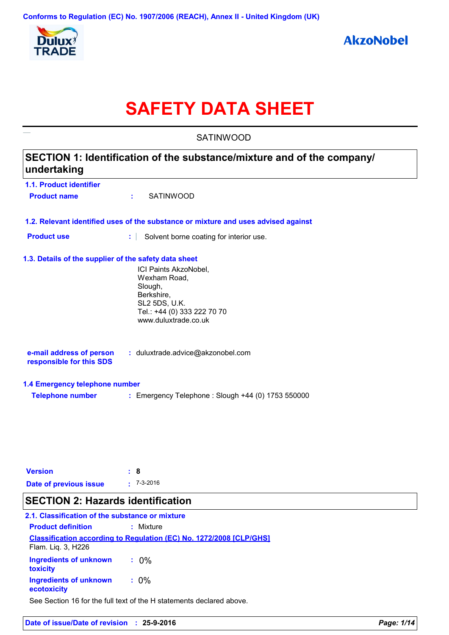

# **SAFETY DATA SHEET**

|                                                                                       | <b>SATINWOOD</b>                                                                                                                       |  |
|---------------------------------------------------------------------------------------|----------------------------------------------------------------------------------------------------------------------------------------|--|
| SECTION 1: Identification of the substance/mixture and of the company/<br>undertaking |                                                                                                                                        |  |
| 1.1. Product identifier                                                               |                                                                                                                                        |  |
| <b>Product name</b>                                                                   | <b>SATINWOOD</b><br>÷.                                                                                                                 |  |
|                                                                                       | 1.2. Relevant identified uses of the substance or mixture and uses advised against                                                     |  |
| <b>Product use</b>                                                                    | t.<br>Solvent borne coating for interior use.                                                                                          |  |
| 1.3. Details of the supplier of the safety data sheet                                 | ICI Paints AkzoNobel,<br>Wexham Road,<br>Slough,<br>Berkshire,<br>SL2 5DS, U.K.<br>Tel.: +44 (0) 333 222 70 70<br>www.duluxtrade.co.uk |  |
| e-mail address of person<br>responsible for this SDS                                  | : duluxtrade.advice@akzonobel.com                                                                                                      |  |
| 1.4 Emergency telephone number                                                        |                                                                                                                                        |  |
| <b>Telephone number</b>                                                               | : Emergency Telephone : Slough +44 (0) 1753 550000                                                                                     |  |
|                                                                                       |                                                                                                                                        |  |
| <b>Version</b>                                                                        | : 8                                                                                                                                    |  |
| <b>Date of previous issue</b>                                                         | $-7-3-2016$                                                                                                                            |  |

# **SECTION 2: Hazards identification**

### **Classification according to Regulation (EC) No. 1272/2008 [CLP/GHS] 2.1. Classification of the substance or mixture Product definition :** Mixture See Section 16 for the full text of the H statements declared above. **Ingredients of unknown toxicity :** 0% **Ingredients of unknown ecotoxicity :** 0% Flam. Liq. 3, H226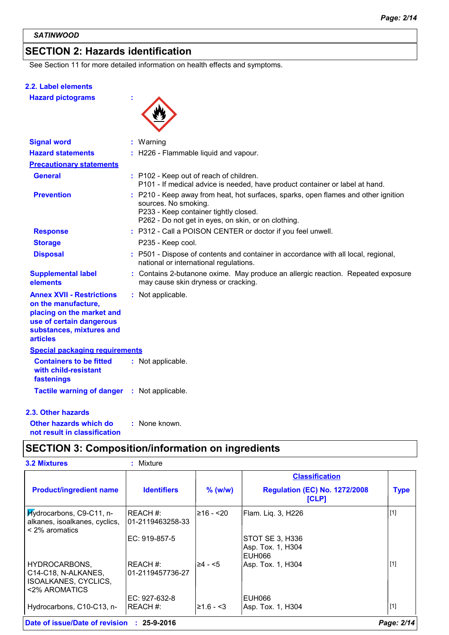# **SECTION 2: Hazards identification**

See Section 11 for more detailed information on health effects and symptoms.

#### **2.2. Label elements**

**Hazard pictograms :**



| <b>Signal word</b>                                                                                                                                              | : Warning                                                                                                                                                                                                |
|-----------------------------------------------------------------------------------------------------------------------------------------------------------------|----------------------------------------------------------------------------------------------------------------------------------------------------------------------------------------------------------|
| <b>Hazard statements</b>                                                                                                                                        | : H226 - Flammable liquid and vapour.                                                                                                                                                                    |
| <b>Precautionary statements</b>                                                                                                                                 |                                                                                                                                                                                                          |
| <b>General</b>                                                                                                                                                  | : P102 - Keep out of reach of children.<br>P101 - If medical advice is needed, have product container or label at hand.                                                                                  |
| <b>Prevention</b>                                                                                                                                               | P210 - Keep away from heat, hot surfaces, sparks, open flames and other ignition<br>sources. No smoking.<br>P233 - Keep container tightly closed.<br>P262 - Do not get in eyes, on skin, or on clothing. |
| <b>Response</b>                                                                                                                                                 | : P312 - Call a POISON CENTER or doctor if you feel unwell.                                                                                                                                              |
| <b>Storage</b>                                                                                                                                                  | P235 - Keep cool.                                                                                                                                                                                        |
| <b>Disposal</b>                                                                                                                                                 | : P501 - Dispose of contents and container in accordance with all local, regional,<br>national or international regulations.                                                                             |
| <b>Supplemental label</b><br>elements                                                                                                                           | : Contains 2-butanone oxime. May produce an allergic reaction. Repeated exposure<br>may cause skin dryness or cracking.                                                                                  |
| <b>Annex XVII - Restrictions</b><br>on the manufacture,<br>placing on the market and<br>use of certain dangerous<br>substances, mixtures and<br><b>articles</b> | : Not applicable.                                                                                                                                                                                        |
| <b>Special packaging requirements</b>                                                                                                                           |                                                                                                                                                                                                          |
| <b>Containers to be fitted</b><br>with child-resistant<br>fastenings                                                                                            | : Not applicable.                                                                                                                                                                                        |
| <b>Tactile warning of danger : Not applicable.</b>                                                                                                              |                                                                                                                                                                                                          |
| 2.3. Other hazards                                                                                                                                              |                                                                                                                                                                                                          |
| Other hazards which do                                                                                                                                          | : None known.                                                                                                                                                                                            |

**Other hazards which do : not result in classification**

# **SECTION 3: Composition/information on ingredients**

|                                                                                             |                              |              | <b>Classification</b>                          |             |
|---------------------------------------------------------------------------------------------|------------------------------|--------------|------------------------------------------------|-------------|
| <b>Product/ingredient name</b>                                                              | <b>Identifiers</b>           | $%$ (w/w)    | <b>Regulation (EC) No. 1272/2008</b><br>[CLP]  | <b>Type</b> |
| Hydrocarbons, C9-C11, n-<br>alkanes, isoalkanes, cyclics,<br>$\leq$ 2% aromatics            | REACH#:<br>01-2119463258-33  | ≥16 - <20    | Flam. Liq. 3, H226                             | $[1]$       |
|                                                                                             | EC: 919-857-5                |              | STOT SE 3, H336<br>Asp. Tox. 1, H304<br>EUH066 |             |
| <b>HYDROCARBONS,</b><br>C14-C18, N-ALKANES,<br><b>ISOALKANES, CYCLICS,</b><br><2% AROMATICS | REACH #:<br>01-2119457736-27 | $\geq 4 - 5$ | Asp. Tox. 1, H304                              | $[1]$       |
| Hydrocarbons, C10-C13, n-                                                                   | $EC: 927-632-8$<br>REACH #:  | $≥1.6 - 3$   | EUH066<br>Asp. Tox. 1, H304                    | [1]         |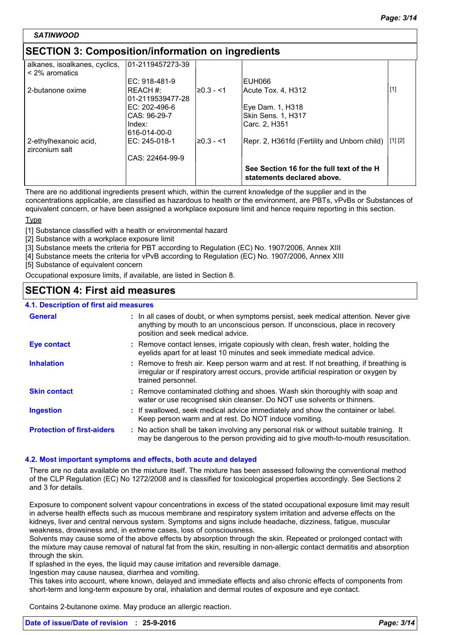#### *SATINWOOD*

# **SECTION 3: Composition/information on ingredients**

| alkanes, isoalkanes, cyclics,<br>$\leq$ 2% aromatics | 101-2119457273-39          |            |                                                                         |                     |
|------------------------------------------------------|----------------------------|------------|-------------------------------------------------------------------------|---------------------|
|                                                      | EC: 918-481-9              |            | EUH066                                                                  |                     |
| 2-butanone oxime                                     | RFACH#<br>01-2119539477-28 | l≥0.3 - <1 | Acute Tox, 4, H312                                                      | $\lfloor 1 \rfloor$ |
|                                                      | EC: 202-496-6              |            | Eye Dam. 1, H318                                                        |                     |
|                                                      | CAS: 96-29-7               |            | <b>Skin Sens. 1, H317</b>                                               |                     |
|                                                      | Index:<br>616-014-00-0     |            | Carc. 2, H351                                                           |                     |
| 2-ethylhexanoic acid,<br>zirconium salt              | EC: 245-018-1              | i≥0.3 - <1 | Repr. 2, H361fd (Fertility and Unborn child)                            | [1] [2]             |
|                                                      | CAS: 22464-99-9            |            |                                                                         |                     |
|                                                      |                            |            | See Section 16 for the full text of the H<br>statements declared above. |                     |

There are no additional ingredients present which, within the current knowledge of the supplier and in the concentrations applicable, are classified as hazardous to health or the environment, are PBTs, vPvBs or Substances of equivalent concern, or have been assigned a workplace exposure limit and hence require reporting in this section.

#### Type

[1] Substance classified with a health or environmental hazard

- [2] Substance with a workplace exposure limit
- [3] Substance meets the criteria for PBT according to Regulation (EC) No. 1907/2006, Annex XIII
- [4] Substance meets the criteria for vPvB according to Regulation (EC) No. 1907/2006, Annex XIII

[5] Substance of equivalent concern

Occupational exposure limits, if available, are listed in Section 8.

# **SECTION 4: First aid measures**

| 4.1. Description of first aid measures |                                                                                                                                                                                                             |
|----------------------------------------|-------------------------------------------------------------------------------------------------------------------------------------------------------------------------------------------------------------|
| <b>General</b>                         | : In all cases of doubt, or when symptoms persist, seek medical attention. Never give<br>anything by mouth to an unconscious person. If unconscious, place in recovery<br>position and seek medical advice. |
| <b>Eye contact</b>                     | : Remove contact lenses, irrigate copiously with clean, fresh water, holding the<br>eyelids apart for at least 10 minutes and seek immediate medical advice.                                                |
| <b>Inhalation</b>                      | : Remove to fresh air. Keep person warm and at rest. If not breathing, if breathing is<br>irregular or if respiratory arrest occurs, provide artificial respiration or oxygen by<br>trained personnel.      |
| <b>Skin contact</b>                    | : Remove contaminated clothing and shoes. Wash skin thoroughly with soap and<br>water or use recognised skin cleanser. Do NOT use solvents or thinners.                                                     |
| <b>Ingestion</b>                       | : If swallowed, seek medical advice immediately and show the container or label.<br>Keep person warm and at rest. Do NOT induce vomiting.                                                                   |
| <b>Protection of first-aiders</b>      | : No action shall be taken involving any personal risk or without suitable training. It<br>may be dangerous to the person providing aid to give mouth-to-mouth resuscitation.                               |

#### **4.2. Most important symptoms and effects, both acute and delayed**

There are no data available on the mixture itself. The mixture has been assessed following the conventional method of the CLP Regulation (EC) No 1272/2008 and is classified for toxicological properties accordingly. See Sections 2 and 3 for details.

Exposure to component solvent vapour concentrations in excess of the stated occupational exposure limit may result in adverse health effects such as mucous membrane and respiratory system irritation and adverse effects on the kidneys, liver and central nervous system. Symptoms and signs include headache, dizziness, fatigue, muscular weakness, drowsiness and, in extreme cases, loss of consciousness.

Solvents may cause some of the above effects by absorption through the skin. Repeated or prolonged contact with the mixture may cause removal of natural fat from the skin, resulting in non-allergic contact dermatitis and absorption through the skin.

If splashed in the eyes, the liquid may cause irritation and reversible damage.

Ingestion may cause nausea, diarrhea and vomiting.

This takes into account, where known, delayed and immediate effects and also chronic effects of components from short-term and long-term exposure by oral, inhalation and dermal routes of exposure and eye contact.

Contains 2-butanone oxime. May produce an allergic reaction.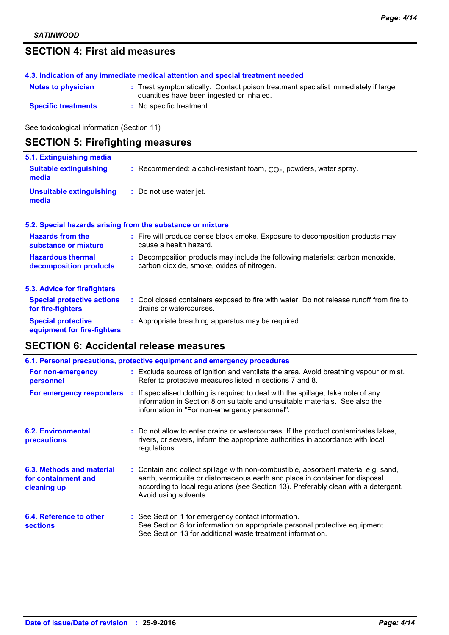# **SECTION 4: First aid measures**

|                            | 4.3. Indication of any immediate medical attention and special treatment needed                                                |
|----------------------------|--------------------------------------------------------------------------------------------------------------------------------|
| <b>Notes to physician</b>  | : Treat symptomatically. Contact poison treatment specialist immediately if large<br>quantities have been ingested or inhaled. |
| <b>Specific treatments</b> | : No specific treatment.                                                                                                       |

See toxicological information (Section 11)

| <b>SECTION 5: Firefighting measures</b>                  |                                                                                                                              |  |  |
|----------------------------------------------------------|------------------------------------------------------------------------------------------------------------------------------|--|--|
| 5.1. Extinguishing media                                 |                                                                                                                              |  |  |
| <b>Suitable extinguishing</b><br>media                   | : Recommended: alcohol-resistant foam, $CO2$ , powders, water spray.                                                         |  |  |
| <b>Unsuitable extinguishing</b><br>media                 | : Do not use water jet.                                                                                                      |  |  |
|                                                          | 5.2. Special hazards arising from the substance or mixture                                                                   |  |  |
| <b>Hazards from the</b><br>substance or mixture          | : Fire will produce dense black smoke. Exposure to decomposition products may<br>cause a health hazard.                      |  |  |
| <b>Hazardous thermal</b><br>decomposition products       | : Decomposition products may include the following materials: carbon monoxide,<br>carbon dioxide, smoke, oxides of nitrogen. |  |  |
| 5.3. Advice for firefighters                             |                                                                                                                              |  |  |
| <b>Special protective actions</b><br>for fire-fighters   | : Cool closed containers exposed to fire with water. Do not release runoff from fire to<br>drains or watercourses.           |  |  |
| <b>Special protective</b><br>equipment for fire-fighters | : Appropriate breathing apparatus may be required.                                                                           |  |  |

# **SECTION 6: Accidental release measures**

| 6.1. Personal precautions, protective equipment and emergency procedures |  |                                                                                                                                                                                                                                                                                    |  |
|--------------------------------------------------------------------------|--|------------------------------------------------------------------------------------------------------------------------------------------------------------------------------------------------------------------------------------------------------------------------------------|--|
| For non-emergency<br>personnel                                           |  | : Exclude sources of ignition and ventilate the area. Avoid breathing vapour or mist.<br>Refer to protective measures listed in sections 7 and 8.                                                                                                                                  |  |
| For emergency responders                                                 |  | : If specialised clothing is required to deal with the spillage, take note of any<br>information in Section 8 on suitable and unsuitable materials. See also the<br>information in "For non-emergency personnel".                                                                  |  |
| 6.2. Environmental<br>precautions                                        |  | : Do not allow to enter drains or watercourses. If the product contaminates lakes,<br>rivers, or sewers, inform the appropriate authorities in accordance with local<br>regulations.                                                                                               |  |
| 6.3. Methods and material<br>for containment and<br>cleaning up          |  | : Contain and collect spillage with non-combustible, absorbent material e.g. sand,<br>earth, vermiculite or diatomaceous earth and place in container for disposal<br>according to local regulations (see Section 13). Preferably clean with a detergent.<br>Avoid using solvents. |  |
| 6.4. Reference to other<br><b>sections</b>                               |  | : See Section 1 for emergency contact information.<br>See Section 8 for information on appropriate personal protective equipment.<br>See Section 13 for additional waste treatment information.                                                                                    |  |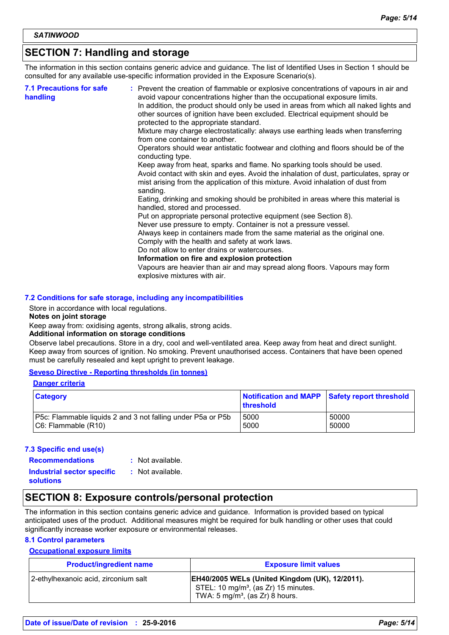# **SECTION 7: Handling and storage**

The information in this section contains generic advice and guidance. The list of Identified Uses in Section 1 should be consulted for any available use-specific information provided in the Exposure Scenario(s).

| sanding.<br>Eating, drinking and smoking should be prohibited in areas where this material is<br>handled, stored and processed.<br>Put on appropriate personal protective equipment (see Section 8).<br>Never use pressure to empty. Container is not a pressure vessel.<br>Always keep in containers made from the same material as the original one.<br>Comply with the health and safety at work laws.<br>Do not allow to enter drains or watercourses.<br>Information on fire and explosion protection<br>Vapours are heavier than air and may spread along floors. Vapours may form<br>explosive mixtures with air. | <b>7.1 Precautions for safe</b><br>handling | : Prevent the creation of flammable or explosive concentrations of vapours in air and<br>avoid vapour concentrations higher than the occupational exposure limits.<br>In addition, the product should only be used in areas from which all naked lights and<br>other sources of ignition have been excluded. Electrical equipment should be<br>protected to the appropriate standard.<br>Mixture may charge electrostatically: always use earthing leads when transferring<br>from one container to another.<br>Operators should wear antistatic footwear and clothing and floors should be of the<br>conducting type.<br>Keep away from heat, sparks and flame. No sparking tools should be used.<br>Avoid contact with skin and eyes. Avoid the inhalation of dust, particulates, spray or<br>mist arising from the application of this mixture. Avoid inhalation of dust from |
|--------------------------------------------------------------------------------------------------------------------------------------------------------------------------------------------------------------------------------------------------------------------------------------------------------------------------------------------------------------------------------------------------------------------------------------------------------------------------------------------------------------------------------------------------------------------------------------------------------------------------|---------------------------------------------|----------------------------------------------------------------------------------------------------------------------------------------------------------------------------------------------------------------------------------------------------------------------------------------------------------------------------------------------------------------------------------------------------------------------------------------------------------------------------------------------------------------------------------------------------------------------------------------------------------------------------------------------------------------------------------------------------------------------------------------------------------------------------------------------------------------------------------------------------------------------------------|
|--------------------------------------------------------------------------------------------------------------------------------------------------------------------------------------------------------------------------------------------------------------------------------------------------------------------------------------------------------------------------------------------------------------------------------------------------------------------------------------------------------------------------------------------------------------------------------------------------------------------------|---------------------------------------------|----------------------------------------------------------------------------------------------------------------------------------------------------------------------------------------------------------------------------------------------------------------------------------------------------------------------------------------------------------------------------------------------------------------------------------------------------------------------------------------------------------------------------------------------------------------------------------------------------------------------------------------------------------------------------------------------------------------------------------------------------------------------------------------------------------------------------------------------------------------------------------|

#### **7.2 Conditions for safe storage, including any incompatibilities**

Store in accordance with local regulations.

#### **Notes on joint storage**

Keep away from: oxidising agents, strong alkalis, strong acids.

#### **Additional information on storage conditions**

Observe label precautions. Store in a dry, cool and well-ventilated area. Keep away from heat and direct sunlight. Keep away from sources of ignition. No smoking. Prevent unauthorised access. Containers that have been opened must be carefully resealed and kept upright to prevent leakage.

#### **Seveso Directive - Reporting thresholds (in tonnes)**

#### **Danger criteria**

| <b>Category</b>                                             | Notification and MAPP Safety report threshold<br>threshold |       |
|-------------------------------------------------------------|------------------------------------------------------------|-------|
| P5c: Flammable liquids 2 and 3 not falling under P5a or P5b | 5000                                                       | 50000 |
| C6: Flammable (R10)                                         | 5000                                                       | 50000 |

#### **7.3 Specific end use(s)**

**Recommendations :**

- : Not available.
- **Industrial sector specific : solutions**
- : Not available.

### **SECTION 8: Exposure controls/personal protection**

The information in this section contains generic advice and guidance. Information is provided based on typical anticipated uses of the product. Additional measures might be required for bulk handling or other uses that could significantly increase worker exposure or environmental releases.

#### **8.1 Control parameters**

#### **Occupational exposure limits**

| <b>Product/ingredient name</b>       | <b>Exposure limit values</b>                                                                                                                            |
|--------------------------------------|---------------------------------------------------------------------------------------------------------------------------------------------------------|
| 2-ethylhexanoic acid, zirconium salt | <b>EH40/2005 WELs (United Kingdom (UK), 12/2011).</b><br>STEL: 10 mg/m <sup>3</sup> , (as Zr) 15 minutes.<br>TWA: $5 \text{ mg/m}^3$ , (as Zr) 8 hours. |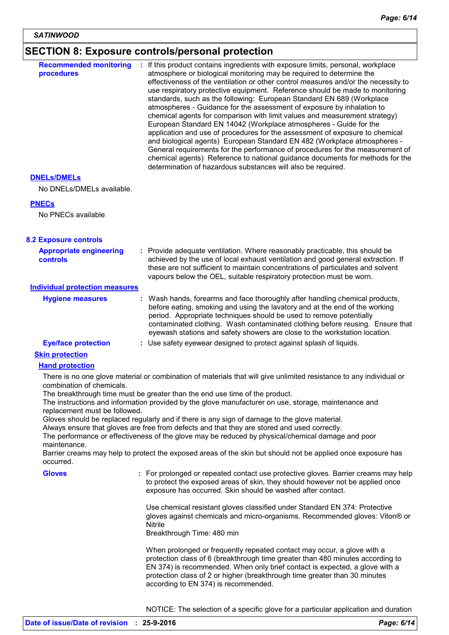# **SECTION 8: Exposure controls/personal protection**

| <b>Recommended monitoring</b><br>procedures                                                                       | If this product contains ingredients with exposure limits, personal, workplace<br>atmosphere or biological monitoring may be required to determine the<br>effectiveness of the ventilation or other control measures and/or the necessity to<br>use respiratory protective equipment. Reference should be made to monitoring<br>standards, such as the following: European Standard EN 689 (Workplace<br>atmospheres - Guidance for the assessment of exposure by inhalation to<br>chemical agents for comparison with limit values and measurement strategy)<br>European Standard EN 14042 (Workplace atmospheres - Guide for the<br>application and use of procedures for the assessment of exposure to chemical<br>and biological agents) European Standard EN 482 (Workplace atmospheres -<br>General requirements for the performance of procedures for the measurement of<br>chemical agents) Reference to national guidance documents for methods for the<br>determination of hazardous substances will also be required. |
|-------------------------------------------------------------------------------------------------------------------|----------------------------------------------------------------------------------------------------------------------------------------------------------------------------------------------------------------------------------------------------------------------------------------------------------------------------------------------------------------------------------------------------------------------------------------------------------------------------------------------------------------------------------------------------------------------------------------------------------------------------------------------------------------------------------------------------------------------------------------------------------------------------------------------------------------------------------------------------------------------------------------------------------------------------------------------------------------------------------------------------------------------------------|
| <b>DNELS/DMELS</b>                                                                                                |                                                                                                                                                                                                                                                                                                                                                                                                                                                                                                                                                                                                                                                                                                                                                                                                                                                                                                                                                                                                                                  |
| No DNELs/DMELs available.                                                                                         |                                                                                                                                                                                                                                                                                                                                                                                                                                                                                                                                                                                                                                                                                                                                                                                                                                                                                                                                                                                                                                  |
| <b>PNECs</b>                                                                                                      |                                                                                                                                                                                                                                                                                                                                                                                                                                                                                                                                                                                                                                                                                                                                                                                                                                                                                                                                                                                                                                  |
| No PNECs available                                                                                                |                                                                                                                                                                                                                                                                                                                                                                                                                                                                                                                                                                                                                                                                                                                                                                                                                                                                                                                                                                                                                                  |
| <b>8.2 Exposure controls</b>                                                                                      |                                                                                                                                                                                                                                                                                                                                                                                                                                                                                                                                                                                                                                                                                                                                                                                                                                                                                                                                                                                                                                  |
| <b>Appropriate engineering</b><br>controls                                                                        | : Provide adequate ventilation. Where reasonably practicable, this should be<br>achieved by the use of local exhaust ventilation and good general extraction. If<br>these are not sufficient to maintain concentrations of particulates and solvent<br>vapours below the OEL, suitable respiratory protection must be worn.                                                                                                                                                                                                                                                                                                                                                                                                                                                                                                                                                                                                                                                                                                      |
| <b>Individual protection measures</b>                                                                             |                                                                                                                                                                                                                                                                                                                                                                                                                                                                                                                                                                                                                                                                                                                                                                                                                                                                                                                                                                                                                                  |
| <b>Hygiene measures</b>                                                                                           | Wash hands, forearms and face thoroughly after handling chemical products,<br>before eating, smoking and using the lavatory and at the end of the working<br>period. Appropriate techniques should be used to remove potentially<br>contaminated clothing. Wash contaminated clothing before reusing. Ensure that<br>eyewash stations and safety showers are close to the workstation location.                                                                                                                                                                                                                                                                                                                                                                                                                                                                                                                                                                                                                                  |
| <b>Eye/face protection</b>                                                                                        | : Use safety eyewear designed to protect against splash of liquids.                                                                                                                                                                                                                                                                                                                                                                                                                                                                                                                                                                                                                                                                                                                                                                                                                                                                                                                                                              |
| <b>Skin protection</b>                                                                                            |                                                                                                                                                                                                                                                                                                                                                                                                                                                                                                                                                                                                                                                                                                                                                                                                                                                                                                                                                                                                                                  |
| <b>Hand protection</b><br>combination of chemicals.<br>replacement must be followed.<br>maintenance.<br>occurred. | There is no one glove material or combination of materials that will give unlimited resistance to any individual or<br>The breakthrough time must be greater than the end use time of the product.<br>The instructions and information provided by the glove manufacturer on use, storage, maintenance and<br>Gloves should be replaced regularly and if there is any sign of damage to the glove material.<br>Always ensure that gloves are free from defects and that they are stored and used correctly.<br>The performance or effectiveness of the glove may be reduced by physical/chemical damage and poor<br>Barrier creams may help to protect the exposed areas of the skin but should not be applied once exposure has                                                                                                                                                                                                                                                                                                 |
| <b>Gloves</b>                                                                                                     | : For prolonged or repeated contact use protective gloves. Barrier creams may help<br>to protect the exposed areas of skin, they should however not be applied once<br>exposure has occurred. Skin should be washed after contact.                                                                                                                                                                                                                                                                                                                                                                                                                                                                                                                                                                                                                                                                                                                                                                                               |
|                                                                                                                   | Use chemical resistant gloves classified under Standard EN 374: Protective<br>gloves against chemicals and micro-organisms. Recommended gloves: Viton® or<br>Nitrile<br>Breakthrough Time: 480 min                                                                                                                                                                                                                                                                                                                                                                                                                                                                                                                                                                                                                                                                                                                                                                                                                               |
|                                                                                                                   | When prolonged or frequently repeated contact may occur, a glove with a<br>protection class of 6 (breakthrough time greater than 480 minutes according to<br>EN 374) is recommended. When only brief contact is expected, a glove with a<br>protection class of 2 or higher (breakthrough time greater than 30 minutes<br>according to EN 374) is recommended.                                                                                                                                                                                                                                                                                                                                                                                                                                                                                                                                                                                                                                                                   |
|                                                                                                                   | NOTICE: The selection of a specific glove for a particular application and duration                                                                                                                                                                                                                                                                                                                                                                                                                                                                                                                                                                                                                                                                                                                                                                                                                                                                                                                                              |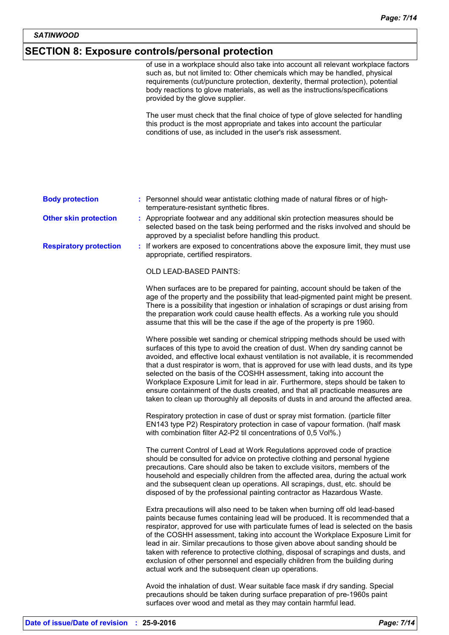# **SECTION 8: Exposure controls/personal protection**

|                               | of use in a workplace should also take into account all relevant workplace factors<br>such as, but not limited to: Other chemicals which may be handled, physical<br>requirements (cut/puncture protection, dexterity, thermal protection), potential<br>body reactions to glove materials, as well as the instructions/specifications<br>provided by the glove supplier.                                                                                                                                                                                                                                                                                                               |  |
|-------------------------------|-----------------------------------------------------------------------------------------------------------------------------------------------------------------------------------------------------------------------------------------------------------------------------------------------------------------------------------------------------------------------------------------------------------------------------------------------------------------------------------------------------------------------------------------------------------------------------------------------------------------------------------------------------------------------------------------|--|
|                               | The user must check that the final choice of type of glove selected for handling<br>this product is the most appropriate and takes into account the particular<br>conditions of use, as included in the user's risk assessment.                                                                                                                                                                                                                                                                                                                                                                                                                                                         |  |
|                               |                                                                                                                                                                                                                                                                                                                                                                                                                                                                                                                                                                                                                                                                                         |  |
| <b>Body protection</b>        | : Personnel should wear antistatic clothing made of natural fibres or of high-<br>temperature-resistant synthetic fibres.                                                                                                                                                                                                                                                                                                                                                                                                                                                                                                                                                               |  |
| <b>Other skin protection</b>  | : Appropriate footwear and any additional skin protection measures should be<br>selected based on the task being performed and the risks involved and should be<br>approved by a specialist before handling this product.                                                                                                                                                                                                                                                                                                                                                                                                                                                               |  |
| <b>Respiratory protection</b> | : If workers are exposed to concentrations above the exposure limit, they must use<br>appropriate, certified respirators.                                                                                                                                                                                                                                                                                                                                                                                                                                                                                                                                                               |  |
|                               | <b>OLD LEAD-BASED PAINTS:</b>                                                                                                                                                                                                                                                                                                                                                                                                                                                                                                                                                                                                                                                           |  |
|                               | When surfaces are to be prepared for painting, account should be taken of the<br>age of the property and the possibility that lead-pigmented paint might be present.<br>There is a possibility that ingestion or inhalation of scrapings or dust arising from<br>the preparation work could cause health effects. As a working rule you should<br>assume that this will be the case if the age of the property is pre 1960.                                                                                                                                                                                                                                                             |  |
|                               | Where possible wet sanding or chemical stripping methods should be used with<br>surfaces of this type to avoid the creation of dust. When dry sanding cannot be<br>avoided, and effective local exhaust ventilation is not available, it is recommended<br>that a dust respirator is worn, that is approved for use with lead dusts, and its type<br>selected on the basis of the COSHH assessment, taking into account the<br>Workplace Exposure Limit for lead in air. Furthermore, steps should be taken to<br>ensure containment of the dusts created, and that all practicable measures are<br>taken to clean up thoroughly all deposits of dusts in and around the affected area. |  |
|                               | Respiratory protection in case of dust or spray mist formation. (particle filter<br>EN143 type P2) Respiratory protection in case of vapour formation. (half mask<br>with combination filter A2-P2 til concentrations of 0,5 Vol%.)                                                                                                                                                                                                                                                                                                                                                                                                                                                     |  |
|                               | The current Control of Lead at Work Regulations approved code of practice<br>should be consulted for advice on protective clothing and personal hygiene<br>precautions. Care should also be taken to exclude visitors, members of the<br>household and especially children from the affected area, during the actual work<br>and the subsequent clean up operations. All scrapings, dust, etc. should be<br>disposed of by the professional painting contractor as Hazardous Waste.                                                                                                                                                                                                     |  |
|                               | Extra precautions will also need to be taken when burning off old lead-based<br>paints because fumes containing lead will be produced. It is recommended that a<br>respirator, approved for use with particulate fumes of lead is selected on the basis<br>of the COSHH assessment, taking into account the Workplace Exposure Limit for<br>lead in air. Similar precautions to those given above about sanding should be<br>taken with reference to protective clothing, disposal of scrapings and dusts, and<br>exclusion of other personnel and especially children from the building during<br>actual work and the subsequent clean up operations.                                  |  |
|                               | Avoid the inhalation of dust. Wear suitable face mask if dry sanding. Special<br>precautions should be taken during surface preparation of pre-1960s paint<br>surfaces over wood and metal as they may contain harmful lead.                                                                                                                                                                                                                                                                                                                                                                                                                                                            |  |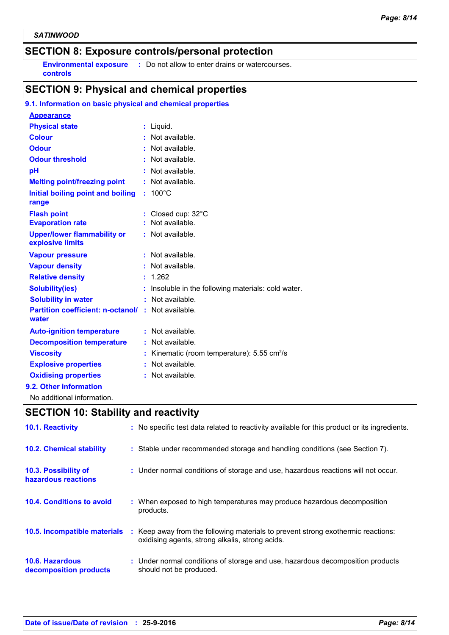# **SECTION 8: Exposure controls/personal protection**

**controls**

**Environmental exposure :** Do not allow to enter drains or watercourses.

# **SECTION 9: Physical and chemical properties**

| 9.1. Information on basic physical and chemical properties  |                                                           |
|-------------------------------------------------------------|-----------------------------------------------------------|
| <b>Appearance</b>                                           |                                                           |
| <b>Physical state</b>                                       | : Liquid.                                                 |
| <b>Colour</b>                                               | $:$ Not available.                                        |
| <b>Odour</b>                                                | : Not available.                                          |
| <b>Odour threshold</b>                                      | $:$ Not available.                                        |
| pH                                                          | : Not available.                                          |
| <b>Melting point/freezing point</b>                         | : Not available.                                          |
| Initial boiling point and boiling<br>range                  | $: 100^{\circ}$ C                                         |
| <b>Flash point</b>                                          | : Closed cup: 32°C                                        |
| <b>Evaporation rate</b>                                     | : Not available.                                          |
| <b>Upper/lower flammability or</b><br>explosive limits      | : Not available.                                          |
| <b>Vapour pressure</b>                                      | : Not available.                                          |
| <b>Vapour density</b>                                       | : Not available.                                          |
| <b>Relative density</b>                                     | : 1.262                                                   |
| <b>Solubility(ies)</b>                                      | Insoluble in the following materials: cold water.         |
| <b>Solubility in water</b>                                  | : Not available.                                          |
| Partition coefficient: n-octanol/ : Not available.<br>water |                                                           |
| <b>Auto-ignition temperature</b>                            | : Not available.                                          |
| <b>Decomposition temperature</b>                            | : Not available.                                          |
| <b>Viscosity</b>                                            | : Kinematic (room temperature): $5.55$ cm <sup>2</sup> /s |
| <b>Explosive properties</b>                                 | $:$ Not available.                                        |
|                                                             |                                                           |
| <b>Oxidising properties</b>                                 | : Not available.                                          |
| 9.2. Other information                                      |                                                           |

# **SECTION 10: Stability and reactivity**

| 10.1. Reactivity                                 | : No specific test data related to reactivity available for this product or its ingredients.                                        |
|--------------------------------------------------|-------------------------------------------------------------------------------------------------------------------------------------|
| <b>10.2. Chemical stability</b>                  | : Stable under recommended storage and handling conditions (see Section 7).                                                         |
| 10.3. Possibility of<br>hazardous reactions      | : Under normal conditions of storage and use, hazardous reactions will not occur.                                                   |
| <b>10.4. Conditions to avoid</b>                 | : When exposed to high temperatures may produce hazardous decomposition<br>products.                                                |
| 10.5. Incompatible materials                     | : Keep away from the following materials to prevent strong exothermic reactions:<br>oxidising agents, strong alkalis, strong acids. |
| <b>10.6. Hazardous</b><br>decomposition products | : Under normal conditions of storage and use, hazardous decomposition products<br>should not be produced.                           |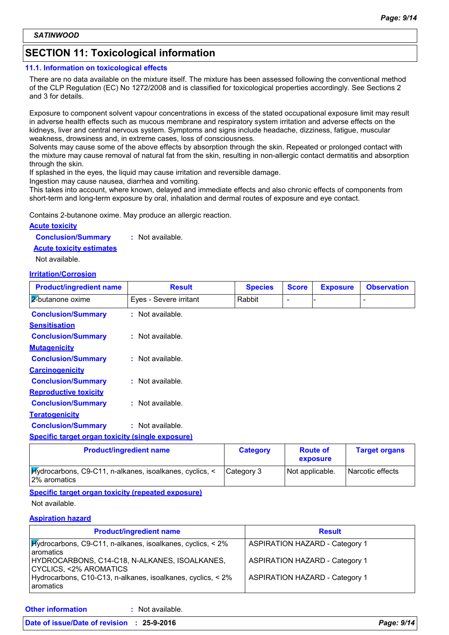# **SECTION 11: Toxicological information**

#### **11.1. Information on toxicological effects**

There are no data available on the mixture itself. The mixture has been assessed following the conventional method of the CLP Regulation (EC) No 1272/2008 and is classified for toxicological properties accordingly. See Sections 2 and 3 for details.

Exposure to component solvent vapour concentrations in excess of the stated occupational exposure limit may result in adverse health effects such as mucous membrane and respiratory system irritation and adverse effects on the kidneys, liver and central nervous system. Symptoms and signs include headache, dizziness, fatigue, muscular weakness, drowsiness and, in extreme cases, loss of consciousness.

Solvents may cause some of the above effects by absorption through the skin. Repeated or prolonged contact with the mixture may cause removal of natural fat from the skin, resulting in non-allergic contact dermatitis and absorption through the skin.

If splashed in the eyes, the liquid may cause irritation and reversible damage.

Ingestion may cause nausea, diarrhea and vomiting.

This takes into account, where known, delayed and immediate effects and also chronic effects of components from short-term and long-term exposure by oral, inhalation and dermal routes of exposure and eye contact.

Contains 2-butanone oxime. May produce an allergic reaction.

#### **Acute toxicity**

**Conclusion/Summary :** Not available.

#### **Acute toxicity estimates**

Not available.

#### **Irritation/Corrosion**

| <b>Product/ingredient name</b>                          | <b>Result</b>          | <b>Species</b>  | <b>Score</b> | <b>Exposure</b> | <b>Observation</b>   |
|---------------------------------------------------------|------------------------|-----------------|--------------|-----------------|----------------------|
| 2-butanone oxime                                        | Eyes - Severe irritant | Rabbit          | ۰            |                 |                      |
| <b>Conclusion/Summary</b>                               | : Not available.       |                 |              |                 |                      |
| <b>Sensitisation</b>                                    |                        |                 |              |                 |                      |
| <b>Conclusion/Summary</b>                               | $:$ Not available.     |                 |              |                 |                      |
| <b>Mutagenicity</b>                                     |                        |                 |              |                 |                      |
| <b>Conclusion/Summary</b>                               | : Not available.       |                 |              |                 |                      |
| <b>Carcinogenicity</b>                                  |                        |                 |              |                 |                      |
| <b>Conclusion/Summary</b>                               | : Not available.       |                 |              |                 |                      |
| <b>Reproductive toxicity</b>                            |                        |                 |              |                 |                      |
| <b>Conclusion/Summary</b>                               | : Not available.       |                 |              |                 |                      |
| <b>Teratogenicity</b>                                   |                        |                 |              |                 |                      |
| <b>Conclusion/Summary</b>                               | : Not available.       |                 |              |                 |                      |
| <b>Specific target organ toxicity (single exposure)</b> |                        |                 |              |                 |                      |
| <b>Product/ingredient name</b>                          |                        | <b>Category</b> |              | <b>Route of</b> | <b>Target organs</b> |

|                                                                         | $-$ - $-$ - $   -$ | .<br>exposure   |                    |
|-------------------------------------------------------------------------|--------------------|-----------------|--------------------|
| Hydrocarbons, C9-C11, n-alkanes, isoalkanes, cyclics, <<br>2% aromatics | ICategory 3        | Not applicable. | l Narcotic effects |

#### **Specific target organ toxicity (repeated exposure)**

Not available.

#### **Aspiration hazard**

| <b>Product/ingredient name</b>                                                           | <b>Result</b>                         |
|------------------------------------------------------------------------------------------|---------------------------------------|
| <b>Hydrocarbons, C9-C11, n-alkanes, isoalkanes, cyclics, &lt; 2%</b><br><b>aromatics</b> | <b>ASPIRATION HAZARD - Category 1</b> |
| HYDROCARBONS, C14-C18, N-ALKANES, ISOALKANES,<br>CYCLICS, <2% AROMATICS                  | <b>ASPIRATION HAZARD - Category 1</b> |
| Hydrocarbons, C10-C13, n-alkanes, isoalkanes, cyclics, < 2%<br><b>aromatics</b>          | <b>ASPIRATION HAZARD - Category 1</b> |

**Other information :**

: Not available.

#### **Date of issue/Date of revision : 25-9-2016** *Page: 9/14*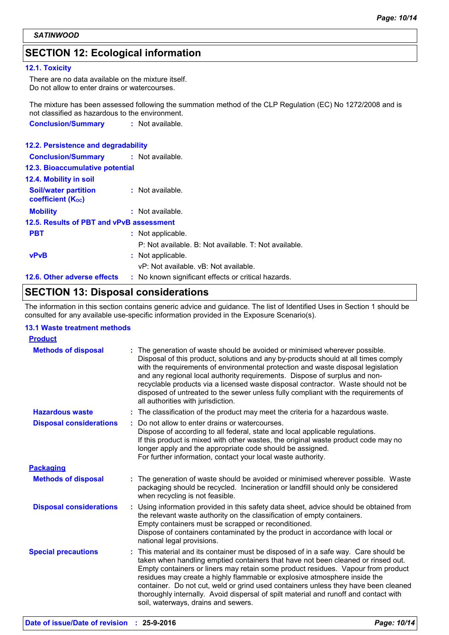# **SECTION 12: Ecological information**

#### **12.1. Toxicity**

There are no data available on the mixture itself. Do not allow to enter drains or watercourses.

The mixture has been assessed following the summation method of the CLP Regulation (EC) No 1272/2008 and is not classified as hazardous to the environment.

| <b>Conclusion/Summary</b> | : Not available. |
|---------------------------|------------------|
|---------------------------|------------------|

#### **12.2. Persistence and degradability**

| <b>Conclusion/Summary : Not available.</b>              |                                                       |
|---------------------------------------------------------|-------------------------------------------------------|
| 12.3. Bioaccumulative potential                         |                                                       |
| <b>12.4. Mobility in soil</b>                           |                                                       |
| <b>Soil/water partition</b><br><b>coefficient (Koc)</b> | : Not available.                                      |
| <b>Mobility</b>                                         | : Not available.                                      |
| 12.5. Results of PBT and vPvB assessment                |                                                       |
| <b>PBT</b>                                              | : Not applicable.                                     |
|                                                         | P: Not available. B: Not available. T: Not available. |
| <b>vPvB</b>                                             | : Not applicable.                                     |
|                                                         | vP: Not available, vB: Not available.                 |
| 12.6. Other adverse effects                             | : No known significant effects or critical hazards.   |
|                                                         |                                                       |

# **SECTION 13: Disposal considerations**

The information in this section contains generic advice and guidance. The list of Identified Uses in Section 1 should be consulted for any available use-specific information provided in the Exposure Scenario(s).

#### **13.1 Waste treatment methods**

| <b>Product</b>                 |                                                                                                                                                                                                                                                                                                                                                                                                                                                                                                                                                             |
|--------------------------------|-------------------------------------------------------------------------------------------------------------------------------------------------------------------------------------------------------------------------------------------------------------------------------------------------------------------------------------------------------------------------------------------------------------------------------------------------------------------------------------------------------------------------------------------------------------|
| <b>Methods of disposal</b>     | : The generation of waste should be avoided or minimised wherever possible.<br>Disposal of this product, solutions and any by-products should at all times comply<br>with the requirements of environmental protection and waste disposal legislation<br>and any regional local authority requirements. Dispose of surplus and non-<br>recyclable products via a licensed waste disposal contractor. Waste should not be<br>disposed of untreated to the sewer unless fully compliant with the requirements of<br>all authorities with jurisdiction.        |
| <b>Hazardous waste</b>         | : The classification of the product may meet the criteria for a hazardous waste.                                                                                                                                                                                                                                                                                                                                                                                                                                                                            |
| <b>Disposal considerations</b> | Do not allow to enter drains or watercourses.<br>Dispose of according to all federal, state and local applicable regulations.<br>If this product is mixed with other wastes, the original waste product code may no<br>longer apply and the appropriate code should be assigned.<br>For further information, contact your local waste authority.                                                                                                                                                                                                            |
| <b>Packaging</b>               |                                                                                                                                                                                                                                                                                                                                                                                                                                                                                                                                                             |
| <b>Methods of disposal</b>     | The generation of waste should be avoided or minimised wherever possible. Waste<br>packaging should be recycled. Incineration or landfill should only be considered<br>when recycling is not feasible.                                                                                                                                                                                                                                                                                                                                                      |
| <b>Disposal considerations</b> | Using information provided in this safety data sheet, advice should be obtained from<br>the relevant waste authority on the classification of empty containers.<br>Empty containers must be scrapped or reconditioned.<br>Dispose of containers contaminated by the product in accordance with local or<br>national legal provisions.                                                                                                                                                                                                                       |
| <b>Special precautions</b>     | This material and its container must be disposed of in a safe way. Care should be<br>taken when handling emptied containers that have not been cleaned or rinsed out.<br>Empty containers or liners may retain some product residues. Vapour from product<br>residues may create a highly flammable or explosive atmosphere inside the<br>container. Do not cut, weld or grind used containers unless they have been cleaned<br>thoroughly internally. Avoid dispersal of spilt material and runoff and contact with<br>soil, waterways, drains and sewers. |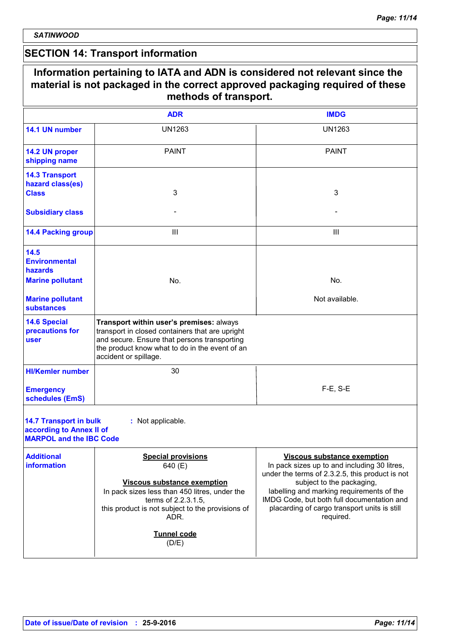# **SECTION 14: Transport information**

|                                                                                             | Information pertaining to IATA and ADN is considered not relevant since the<br>material is not packaged in the correct approved packaging required of these<br>methods of transport.                                                   |                                                                                                                                                                                                                                                                                                                            |
|---------------------------------------------------------------------------------------------|----------------------------------------------------------------------------------------------------------------------------------------------------------------------------------------------------------------------------------------|----------------------------------------------------------------------------------------------------------------------------------------------------------------------------------------------------------------------------------------------------------------------------------------------------------------------------|
|                                                                                             | <b>ADR</b>                                                                                                                                                                                                                             | <b>IMDG</b>                                                                                                                                                                                                                                                                                                                |
| 14.1 UN number                                                                              | <b>UN1263</b>                                                                                                                                                                                                                          | <b>UN1263</b>                                                                                                                                                                                                                                                                                                              |
| 14.2 UN proper<br>shipping name                                                             | <b>PAINT</b>                                                                                                                                                                                                                           | <b>PAINT</b>                                                                                                                                                                                                                                                                                                               |
| <b>14.3 Transport</b><br>hazard class(es)<br><b>Class</b>                                   | 3                                                                                                                                                                                                                                      | 3                                                                                                                                                                                                                                                                                                                          |
| <b>Subsidiary class</b>                                                                     |                                                                                                                                                                                                                                        |                                                                                                                                                                                                                                                                                                                            |
| <b>14.4 Packing group</b>                                                                   | Ш                                                                                                                                                                                                                                      | Ш                                                                                                                                                                                                                                                                                                                          |
| 14.5<br><b>Environmental</b><br>hazards<br><b>Marine pollutant</b>                          | No.                                                                                                                                                                                                                                    | No.                                                                                                                                                                                                                                                                                                                        |
| <b>Marine pollutant</b><br><b>substances</b>                                                |                                                                                                                                                                                                                                        | Not available.                                                                                                                                                                                                                                                                                                             |
| <b>14.6 Special</b><br>precautions for<br><b>user</b>                                       | Transport within user's premises: always<br>transport in closed containers that are upright<br>and secure. Ensure that persons transporting<br>the product know what to do in the event of an<br>accident or spillage.                 |                                                                                                                                                                                                                                                                                                                            |
| <b>HI/Kemler number</b>                                                                     | 30                                                                                                                                                                                                                                     |                                                                                                                                                                                                                                                                                                                            |
| <b>Emergency</b><br>schedules (EmS)                                                         |                                                                                                                                                                                                                                        | $F-E$ , S-E                                                                                                                                                                                                                                                                                                                |
| <b>14.7 Transport in bulk</b><br>according to Annex II of<br><b>MARPOL and the IBC Code</b> | : Not applicable.                                                                                                                                                                                                                      |                                                                                                                                                                                                                                                                                                                            |
| <b>Additional</b><br><b>information</b>                                                     | <b>Special provisions</b><br>640 (E)<br><b>Viscous substance exemption</b><br>In pack sizes less than 450 litres, under the<br>terms of 2.2.3.1.5,<br>this product is not subject to the provisions of<br>ADR.<br>Tunnel code<br>(D/E) | <b>Viscous substance exemption</b><br>In pack sizes up to and including 30 litres,<br>under the terms of 2.3.2.5, this product is not<br>subject to the packaging,<br>labelling and marking requirements of the<br>IMDG Code, but both full documentation and<br>placarding of cargo transport units is still<br>required. |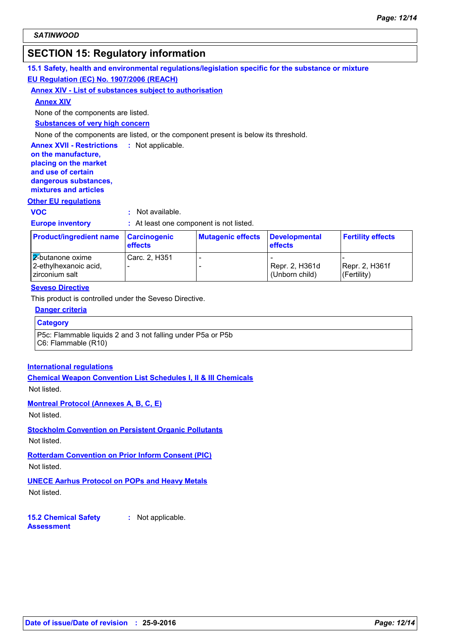# **SECTION 15: Regulatory information**

#### **15.1 Safety, health and environmental regulations/legislation specific for the substance or mixture**

#### **EU Regulation (EC) No. 1907/2006 (REACH)**

#### **Annex XIV - List of substances subject to authorisation**

**Annex XIV**

None of the components are listed.

**Substances of very high concern**

None of the components are listed, or the component present is below its threshold.

#### **Annex XVII - Restrictions :** Not applicable.

**on the manufacture, placing on the market and use of certain dangerous substances, mixtures and articles**

#### **Other EU regulations**

**VOC :** Not available.

**Europe inventory :** At least one component is not listed.

| <b>Product/ingredient name Carcinogenic</b>                 | <b>effects</b> | <b>Mutagenic effects</b> | Developmental<br><b>effects</b>  | <b>Fertility effects</b>      |
|-------------------------------------------------------------|----------------|--------------------------|----------------------------------|-------------------------------|
| 2-butanone oxime<br>2-ethylhexanoic acid,<br>zirconium salt | Carc. 2, H351  |                          | Repr. 2, H361d<br>(Unborn child) | Repr. 2, H361f<br>(Fertility) |

#### **Seveso Directive**

This product is controlled under the Seveso Directive.

#### **Danger criteria**

#### **Category**

P5c: Flammable liquids 2 and 3 not falling under P5a or P5b C6: Flammable (R10)

#### **International regulations**

**Chemical Weapon Convention List Schedules I, II & III Chemicals** Not listed.

#### **Montreal Protocol (Annexes A, B, C, E)**

Not listed.

**Stockholm Convention on Persistent Organic Pollutants** Not listed.

**Rotterdam Convention on Prior Inform Consent (PIC)** Not listed.

**UNECE Aarhus Protocol on POPs and Heavy Metals** Not listed.

**15.2 Chemical Safety Assessment :** Not applicable.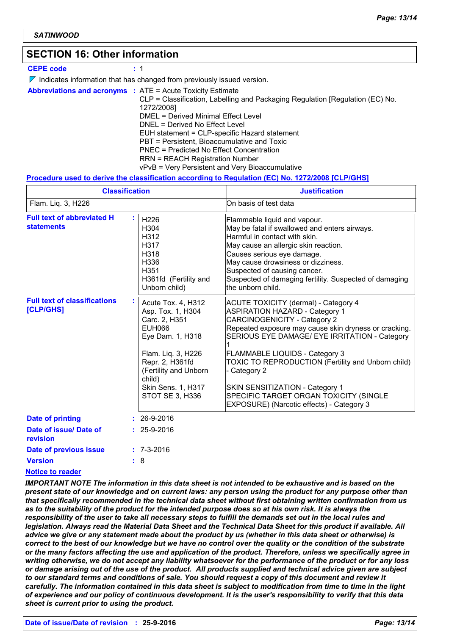### **SECTION 16: Other information**

#### **CEPE code :** 1

 $\nabla$  Indicates information that has changed from previously issued version.

**Abbreviations and acronyms :** ATE = Acute Toxicity Estimate CLP = Classification, Labelling and Packaging Regulation [Regulation (EC) No. 1272/2008] DMEL = Derived Minimal Effect Level DNEL = Derived No Effect Level EUH statement = CLP-specific Hazard statement PBT = Persistent, Bioaccumulative and Toxic PNEC = Predicted No Effect Concentration RRN = REACH Registration Number vPvB = Very Persistent and Very Bioaccumulative

#### **Procedure used to derive the classification according to Regulation (EC) No. 1272/2008 [CLP/GHS]**

|                                                         | <b>Classification</b>                                                                                                                                                                                              | <b>Justification</b>                                                                                                                                                                                                                                                                                                                                                                                                                                                  |  |  |
|---------------------------------------------------------|--------------------------------------------------------------------------------------------------------------------------------------------------------------------------------------------------------------------|-----------------------------------------------------------------------------------------------------------------------------------------------------------------------------------------------------------------------------------------------------------------------------------------------------------------------------------------------------------------------------------------------------------------------------------------------------------------------|--|--|
| Flam. Liq. 3, H226                                      |                                                                                                                                                                                                                    | On basis of test data                                                                                                                                                                                                                                                                                                                                                                                                                                                 |  |  |
| <b>Full text of abbreviated H</b><br><b>statements</b>  | H226<br>H304<br>H312<br>H317<br>H318<br>H336<br>H351<br>H361fd (Fertility and<br>Unborn child)                                                                                                                     | Flammable liquid and vapour.<br>May be fatal if swallowed and enters airways.<br>Harmful in contact with skin.<br>May cause an allergic skin reaction.<br>Causes serious eye damage.<br>May cause drowsiness or dizziness.<br>Suspected of causing cancer.<br>Suspected of damaging fertility. Suspected of damaging<br>the unborn child.                                                                                                                             |  |  |
| <b>Full text of classifications</b><br><b>[CLP/GHS]</b> | Acute Tox. 4, H312<br>Asp. Tox. 1, H304<br>Carc. 2, H351<br>EUH066<br>Eye Dam. 1, H318<br>Flam. Liq. 3, H226<br>Repr. 2, H361fd<br>(Fertility and Unborn<br>child)<br><b>Skin Sens. 1, H317</b><br>STOT SE 3, H336 | <b>ACUTE TOXICITY (dermal) - Category 4</b><br><b>ASPIRATION HAZARD - Category 1</b><br><b>CARCINOGENICITY - Category 2</b><br>Repeated exposure may cause skin dryness or cracking.<br>SERIOUS EYE DAMAGE/ EYE IRRITATION - Category<br>FLAMMABLE LIQUIDS - Category 3<br>TOXIC TO REPRODUCTION (Fertility and Unborn child)<br>Category 2<br>SKIN SENSITIZATION - Category 1<br>SPECIFIC TARGET ORGAN TOXICITY (SINGLE<br>EXPOSURE) (Narcotic effects) - Category 3 |  |  |
| <b>Date of printing</b>                                 | $: 26-9-2016$                                                                                                                                                                                                      |                                                                                                                                                                                                                                                                                                                                                                                                                                                                       |  |  |
| Date of issue/ Date of<br>revision                      | $: 25 - 9 - 2016$                                                                                                                                                                                                  |                                                                                                                                                                                                                                                                                                                                                                                                                                                                       |  |  |
| Date of previous issue                                  | $: 7 - 3 - 2016$                                                                                                                                                                                                   |                                                                                                                                                                                                                                                                                                                                                                                                                                                                       |  |  |
| <b>Version</b>                                          | 8                                                                                                                                                                                                                  |                                                                                                                                                                                                                                                                                                                                                                                                                                                                       |  |  |

#### **Notice to reader**

*IMPORTANT NOTE The information in this data sheet is not intended to be exhaustive and is based on the present state of our knowledge and on current laws: any person using the product for any purpose other than that specifically recommended in the technical data sheet without first obtaining written confirmation from us as to the suitability of the product for the intended purpose does so at his own risk. It is always the responsibility of the user to take all necessary steps to fulfill the demands set out in the local rules and legislation. Always read the Material Data Sheet and the Technical Data Sheet for this product if available. All advice we give or any statement made about the product by us (whether in this data sheet or otherwise) is correct to the best of our knowledge but we have no control over the quality or the condition of the substrate or the many factors affecting the use and application of the product. Therefore, unless we specifically agree in writing otherwise, we do not accept any liability whatsoever for the performance of the product or for any loss or damage arising out of the use of the product. All products supplied and technical advice given are subject to our standard terms and conditions of sale. You should request a copy of this document and review it carefully. The information contained in this data sheet is subject to modification from time to time in the light of experience and our policy of continuous development. It is the user's responsibility to verify that this data sheet is current prior to using the product.*